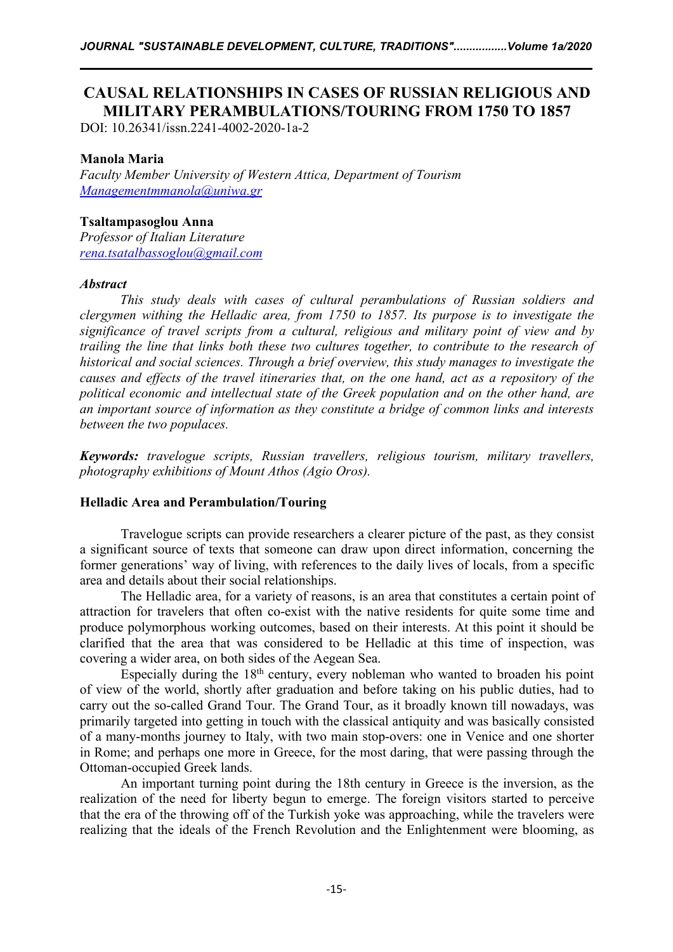# **CAUSAL RELATIONSHIPS IN CASES OF RUSSIAN RELIGIOUS AND MILITARY PERAMBULATIONS/TOURING FROM 1750 TO 1857**

DOI: 10.26341/issn.2241-4002-2020-1a-2

# **Manola Maria**

*Faculty Member University of Western Attica, Department of Tourism [Managementmmanola@uniwa.gr](mailto:Managementmmanola@uniwa.gr)*

# **Tsaltampasoglou Anna**

*Professor of Italian Literature [rena.tsatalbassoglou@gmail.com](mailto:rena.tsatalbassoglou@gmail.com)*

### *Abstract*

*This study deals with cases of cultural perambulations of Russian soldiers and clergymen withing the Helladic area, from 1750 to 1857. Its purpose is to investigate the significance of travel scripts from a cultural, religious and military point of view and by trailing the line that links both these two cultures together, to contribute to the research of historical and social sciences. Through a brief overview, this study manages to investigate the* causes and effects of the travel itineraries that, on the one hand, act as a repository of the *political economic and intellectual state of the Greek population and on the other hand, are an importantsource of information as they constitute a bridge of common links and interests between the two populaces.*

*Keywords: travelogue scripts, Russian travellers, religious tourism, military travellers, photography exhibitions of Mount Athos (Agio Oros).*

# **Helladic Area and Perambulation/Touring**

Travelogue scripts can provide researchers a clearer picture of the past, as they consist a significant source of texts that someone can draw upon direct information, concerning the former generations' way of living, with references to the daily lives of locals, from a specific area and details about their social relationships.

The Helladic area, for a variety of reasons, is an area that constitutes a certain point of attraction for travelers that often co-exist with the native residents for quite some time and produce polymorphous working outcomes, based on their interests. At this point it should be clarified that the area that was considered to be Helladic at this time of inspection, was covering a wider area, on both sides of the Aegean Sea.

Especially during the 18<sup>th</sup> century, every nobleman who wanted to broaden his point of view of the world, shortly after graduation and before taking on his public duties, had to carry out the so-called Grand Tour. The Grand Tour, as it broadly known till nowadays, was primarily targeted into getting in touch with the classical antiquity and was basically consisted of a many-months journey to Italy, with two main stop-overs: one in Venice and one shorter in Rome; and perhaps one more in Greece, for the most daring, that were passing through the Ottoman-occupied Greek lands.

An important turning point during the 18th century in Greece is the inversion, as the realization of the need for liberty begun to emerge.The foreign visitors started to perceive that the era of the throwing off of the Turkish yoke was approaching, while the travelers were realizing that the ideals of the French Revolution and the Enlightenment were blooming, as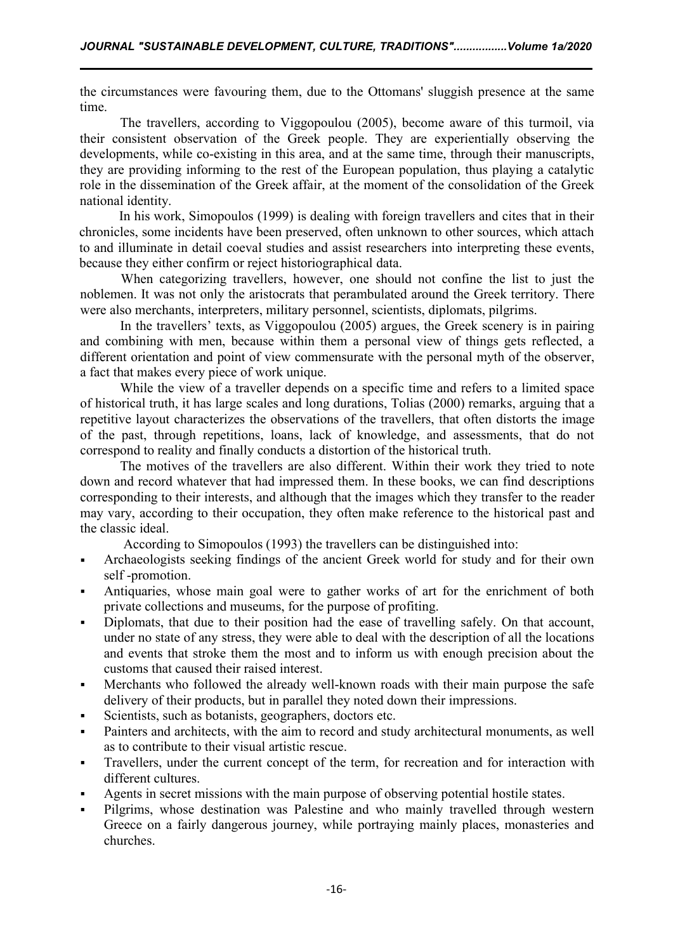the circumstances were favouring them, due to the Ottomans' sluggish presence at the same time.

The travellers, according to Viggopoulou (2005), become aware of this turmoil, via their consistent observation of the Greek people. They are experientially observing the developments, while co-existing in this area, and at the same time, through their manuscripts, they are providing informing to the rest of the European population, thus playing a catalytic role in the dissemination of the Greek affair, at the moment of the consolidation of the Greek national identity.

In his work, Simopoulos (1999) is dealing with foreign travellers and cites that in their chronicles, some incidents have been preserved, often unknown to other sources, which attach to and illuminate in detail coeval studies and assist researchers into interpreting these events, because they either confirm or reject historiographical data.

When categorizing travellers, however, one should not confine the list to just the noblemen. It was not only the aristocrats that perambulated around the Greek territory. There were also merchants, interpreters, military personnel, scientists, diplomats, pilgrims.

In the travellers' texts, as Viggopoulou (2005) argues, the Greek scenery is in pairing and combining with men, because within them a personal view of things gets reflected, a different orientation and point of view commensurate with the personal myth of the observer, a fact that makes every piece of work unique.

While the view of a traveller depends on a specific time and refers to a limited space of historical truth, it has large scales and long durations, Tolias (2000) remarks, arguing that a repetitive layout characterizes the observations of the travellers, that often distorts the image of the past, through repetitions, loans, lack of knowledge, and assessments, that do not correspond to reality and finally conducts a distortion of the historical truth.

The motives of the travellers are also different. Within their work they tried to note down and record whatever that had impressed them. In these books, we can find descriptions corresponding to their interests, and although that the images which they transfer to the reader may vary, according to their occupation, they often make reference to the historical past and the classic ideal.

According to Simopoulos (1993) the travellers can be distinguished into:

- Archaeologists seeking findings of the ancientGreek world for study and for their own self -promotion.
- Antiquaries, whose main goal were to gather works of art for the enrichment of both private collections and museums, for the purpose of profiting.
- Diplomats, that due to their position had the ease of travelling safely. Οn that account, under no state of any stress, they were able to deal with the description of all the locations and events that stroke them the most and to inform us with enough precision about the customs that caused their raised interest.
- Merchants who followed the already well-known roads with their main purpose the safe delivery of their products, but in parallel they noted down their impressions.
- Scientists, such as botanists, geographers, doctors etc.
- Painters and architects, with the aim to record and study architectural monuments, as well as to contribute to their visual artistic rescue.
- Travellers, under the current concept of the term, for recreation and for interaction with different cultures.
- Agents in secret missions with the main purpose of observing potential hostile states.
- Pilgrims, whose destination was Palestine and who mainly travelled through western Greece on a fairly dangerous journey, while portraying mainly places, monasteries and churches.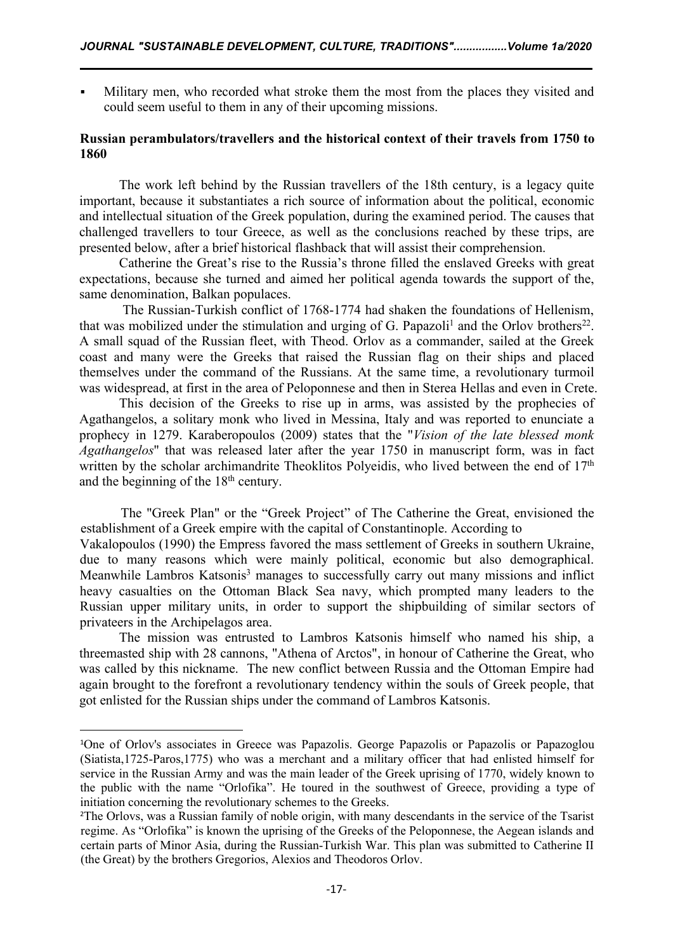Military men, who recorded what stroke them the most from the places they visited and could seem useful to them in any of their upcoming missions.

# **Russian perambulators/travellers and the historical context of their travels from 1750 to 1860**

The work left behind by the Russian travellers of the 18th century, is a legacy quite important, because it substantiates a rich source of information about the political, economic and intellectual situation of the Greek population, during the examined period. The causes that challenged travellers to tour Greece, as well as the conclusions reached by these trips, are presented below, after a brief historical flashback that will assist their comprehension.

Catherine the Great's rise to the Russia's throne filled the enslaved Greeks with great expectations, because she turned and aimed her political agenda towards the support of the, same denomination, Balkan populaces.

The Russian-Turkish conflict of 1768-1774 had shaken the foundations of Hellenism, that was mobilized under the stimulation and urging of G. Papazoli<sup>[1](#page-2-0)</sup> and the Orlov brothers<sup>[22](#page-2-1)</sup>. . A small squad of the Russian fleet, with Theod. Orlov as a commander, sailed at the Greek coast and many were the Greeks that raised the Russian flag on their ships and placed themselves under the command of the Russians. At the same time, a revolutionary turmoil was widespread, at first in the area of Peloponnese and then in Sterea Hellas and even in Crete.

This decision of the Greeks to rise up in arms, was assisted by the prophecies of Agathangelos, a solitary monk who lived in Messina, Italy and was reported to enunciate a prophecy in 1279. Karaberopoulos (2009) states that the "*Vision of the late blessed monk Agathangelos*" that was released later after the year1750 in manuscript form, was in fact written by the scholar archimandrite Theoklitos Polyeidis, who lived between the end of 17<sup>th</sup> and the beginning of the 18<sup>th</sup> century.

The "Greek Plan" or the "Greek Project" of The Catherine the Great, envisioned the establishment of a Greek empire with the capital of Constantinople. According to Vakalopoulos (1990) the Empress favored the mass settlement of Greeks in southern Ukraine, due to many reasons which were mainly political, economic but also demographical. Meanwhile Lambros Katsonis <sup>3</sup> manages to successfully carry out many missions and inflict heavy casualties on the Ottoman Black Sea navy, which prompted many leaders to the Russian upper military units, in order to support the shipbuilding of similar sectors of privateers in the Archipelagos area.

The mission was entrusted to Lambros Katsonis himself who named his ship, a threemasted ship with 28 cannons, "Athena of Arctos", in honour of Catherine the Great, who was called by this nickname. The new conflict between Russia and the Ottoman Empire had again brought to the forefront a revolutionary tendency within the souls of Greek people, that got enlisted for the Russian ships under the command of Lambros Katsonis.

<span id="page-2-0"></span><sup>1</sup>One of Orlov's associates in Greece was Papazolis. George Papazolis or Papazolis or Papazoglou (Siatista,1725-Paros,1775) who was a merchant and a military officer that had enlisted himself for service in the Russian Army and was the main leader of the Greek uprising of 1770, widely known to the public with the name "Orlofika". He toured in the southwest of Greece, providing a type of initiation concerning the revolutionary schemes to the Greeks.

<span id="page-2-1"></span><sup>&</sup>lt;sup>2</sup>The Orlovs, was a Russian family of noble origin, with many descendants in the service of the Tsarist regime. As "Orlofika" is known the uprising of the Greeks of the Peloponnese, the Aegean islands and certain parts of Minor Asia, during the Russian-Turkish War. This plan was submitted to Catherine II (the Great) by the brothers Gregorios, Alexios and Theodoros Orlov.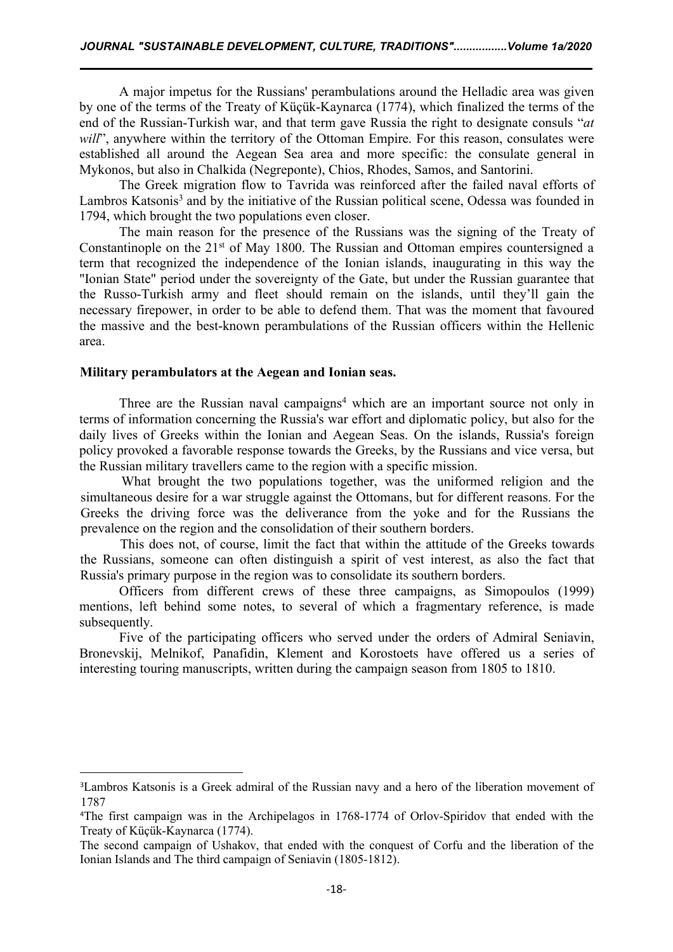A major impetus for the Russians' perambulations around the Helladic area was given by one of the terms of the Treaty of Küçük-Kaynarca (1774), which finalized the terms of the end of the Russian-Turkish war, and that term gave Russia the right to designate consuls "*at will*", anywhere within the territory of the Ottoman Empire. For this reason, consulates were established all around the Aegean Sea area and more specific: the consulate general in Mykonos, but also in Chalkida (Negreponte), Chios, Rhodes, Samos, and Santorini.

The Greek migration flow to Tavrida was reinforced after the failed naval efforts of Lambros Katsonis [3](#page-3-0) and by the initiative of the Russian political scene, Odessa was founded in 1794, which brought the two populations even closer.

The main reason for the presence of the Russians was the signing of the Treaty of Constantinople on the 21<sup>st</sup> of May 1800. The Russian and Ottoman empires countersigned a term that recognized the independence of the Ionian islands, inaugurating in this way the "Ionian State" period under the sovereignty of the Gate, but under the Russian guarantee that the Russo-Turkish army and fleet should remain on the islands, until they'll gain the necessary firepower, in order to be able to defend them. That was the moment that favoured the massive and the best-known perambulations of the Russian officers within the Hellenic area.

#### **Military perambulators atthe Aegean and Ionian seas.**

Three are the Russian naval campaigns [4](#page-3-1) which are an important source not only in terms of information concerning the Russia's war effort and diplomatic policy, but also for the daily lives of Greeks within the Ionian and Aegean Seas. On the islands, Russia's foreign policy provoked a favorable response towards the Greeks, by the Russians and vice versa, but the Russian military travellers came to the region with a specific mission.

What brought the two populations together, was the uniformed religion and the simultaneous desire for a war struggle against the Ottomans, but for different reasons. For the Greeks the driving force was the deliverance from the yoke and for the Russians the prevalence on the region and the consolidation of their southern borders.

This does not, of course, limit the fact that within the attitude of the Greeks towards the Russians, someone can often distinguish a spirit of vest interest, as also the fact that Russia's primary purpose in the region was to consolidate its southern borders.

Officers from different crews of these three campaigns, as Simopoulos (1999) mentions, left behind some notes, to several of which a fragmentary reference, is made subsequently.

Five of the participating officers who served under the orders of Admiral Seniavin, Bronevskij, Melnikof, Panafidin, Klement and Korostoets have offered us a series of interesting touring manuscripts, written during the campaign season from 1805 to 1810.

<span id="page-3-0"></span><sup>3</sup>Lambros Katsonis is a Greek admiral of the Russian navy and a hero of the liberation movement of 1787

<span id="page-3-1"></span><sup>4</sup>The first campaign was in the Archipelagos in 1768-1774 of Orlov-Spiridov that ended with the Treaty of Küçük-Kaynarca (1774).

The second campaign of Ushakov, that ended with the conquest of Corfu and the liberation of the Ionian Islands and The third campaign of Seniavin (1805-1812).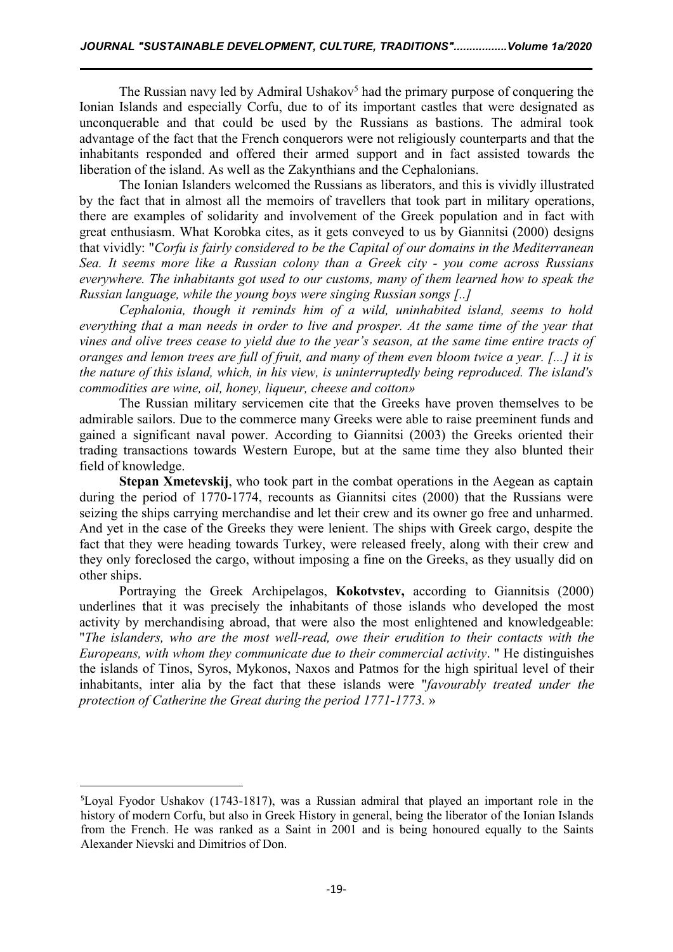The Russian navy led by Admiral Ushakov [5](#page-4-0) had the primary purpose of conquering the Ionian Islands and especially Corfu, due to of its important castles that were designated as unconquerable and that could be used by the Russians as bastions. The admiral took advantage of the fact that the French conquerors were not religiously counterparts and that the inhabitants responded and offered their armed support and in fact assisted towards the liberation of the island. As well as the Zakynthians and the Cephalonians.

The Ionian Islanders welcomed the Russians as liberators, and this is vividly illustrated by the fact that in almost all the memoirs of travellers that took part in military operations, there are examples of solidarity and involvement of the Greek population and in fact with great enthusiasm. What Korobka cites, as it gets conveyed to us by Giannitsi (2000) designs that vividly: "*Corfu is fairly considered to be the Capital of our domains in the Mediterranean Sea. It seems more like a Russian colony than a Greek city - you come across Russians everywhere. The inhabitants got used to our customs, many of them learned how to speak the Russian language, while the young boys were singing Russian songs [..]*

*Cephalonia, though it reminds him of a wild, uninhabited island, seems to hold everything that a man needs in order to live and prosper. At the same time of the year that* vines and olive trees cease to vield due to the year's season, at the same time entire tracts of oranges and lemon trees are full of fruit, and many of them even bloom twice a year. [...] it is *the nature of this island, which, in his view, is uninterruptedly being reproduced. The island's commodities are wine, oil, honey, liqueur, cheese and cotton»*

The Russian military servicemen cite that the Greeks have proven themselves to be admirable sailors. Due to the commerce many Greeks were able to raise preeminent funds and gained a significant naval power. According to Giannitsi (2003) the Greeks oriented their trading transactions towards Western Europe, but at the same time they also blunted their field of knowledge.

**Stepan Xmetevskij**, who took part in the combat operations in the Aegean as captain during the period of 1770-1774, recounts as Giannitsi cites (2000) that the Russians were seizing the ships carrying merchandise and let their crew and its owner go free and unharmed. And yet in the case of the Greeks they were lenient. The ships with Greek cargo, despite the fact that they were heading towards Turkey, were released freely, along with their crew and they only foreclosed the cargo, without imposing a fine on the Greeks, as they usually did on other ships.

Portraying the Greek Archipelagos, **Kokotvstev,** according to Giannitsis (2000) underlines that it was precisely the inhabitants of those islands who developed the most activity by merchandising abroad, that were also the most enlightened and knowledgeable: "*The islanders, who are the most well-read, owe their erudition to their contacts with the Europeans, with whom they communicate due to their commercial activity*. " He distinguishes the islands of Tinos, Syros, Mykonos, Naxos and Patmos for the high spiritual level of their inhabitants, inter alia by the fact that these islands were "*favourably treated under the protection of Catherine the Great during the period 1771-1773.* »

<span id="page-4-0"></span><sup>5</sup>Loyal Fyodor Ushakov (1743-1817), was a Russian admiral that played an important role in the history of modern Corfu, but also in Greek History in general, being the liberator of the Ionian Islands from the French. He was ranked as a Saint in 2001 and is being honoured equally to the Saints Alexander Nievski and Dimitrios of Don.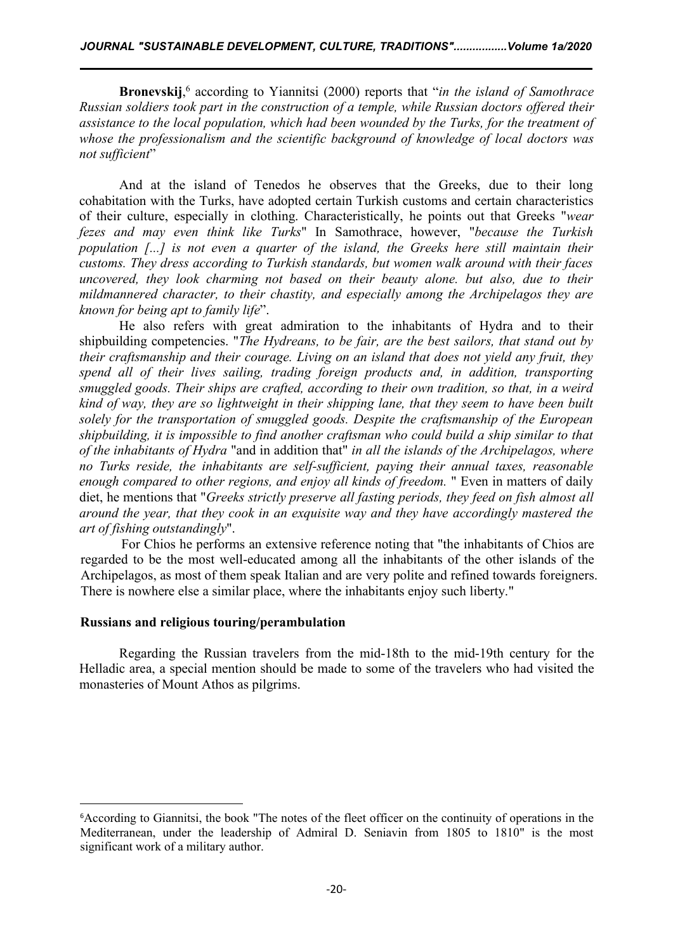**Bronevskij**,[6](#page-5-0) according to Yiannitsi (2000) reports that "*in the island of Samothrace Russian soldiers took part in the construction of a temple, while Russian doctors of ered their assistance to the local population, which had been wounded by the Turks, for the treatment of whose the professionalism and the scientific background of knowledge of local doctors was not sufficient*"

And at the island of Tenedos he observes that the Greeks, due to their long cohabitation with the Turks, have adopted certain Turkish customs and certain characteristics of their culture, especially in clothing. Characteristically, he points out that Greeks "*wear fezes and may even think like Turks*" In Samothrace, however, "*because the Turkish population [...] is not even a quarter of the island, the Greeks here still maintain their customs. They dress according to Turkish standards, but women walk around with theirfaces uncovered, they look charming not based on their beauty alone. but also, due to their mildmannered character, to their chastity, and especially among the Archipelagos they are known for being apt to family life*".

He also refers with great admiration to the inhabitants of Hydra and to their shipbuilding competencies. "*The Hydreans, to be fair, are the best sailors, that stand out by their craftsmanship and their courage. Living on an island that does not yield any fruit, they spend all of their lives sailing, trading foreign products and, in addition, transporting smuggled goods. Their ships are crafted, according to their own tradition, so that, in a weird kind of way, they are so lightweight in their shipping lane, that they seem to have been built solely for the transportation of smuggled goods. Despite the craftsmanship of the European shipbuilding, it is impossible to find another craftsman who could build a ship similar to that of the inhabitants of Hydra* "and in addition that" *in all the islands of the Archipelagos, where no Turks reside, the inhabitants are self-suf icient, paying their annual taxes, reasonable enough compared to other regions, and enjoy all kinds of freedom.* " Even in matters of daily diet, he mentions that "*Greeks strictly preserve all fasting periods, they feed on fish almost all around the year, that they cook in an exquisite way and they have accordingly mastered the art of fishing outstandingly*".

For Chios he performs an extensive reference noting that "the inhabitants of Chios are regarded to be the most well-educated among all the inhabitants of the other islands of the Archipelagos, as most of them speak Italian and are very polite and refined towards foreigners. There is nowhere else a similar place, where the inhabitants enjoy such liberty."

### **Russians and religious touring/perambulation**

Regarding the Russian travelers from the mid-18th to the mid-19th century for the Helladic area, a special mention should be made to some of the travelers who had visited the monasteries of Mount Athos as pilgrims.

<span id="page-5-0"></span><sup>&</sup>lt;sup>6</sup>According to Giannitsi, the book "The notes of the fleet officer on the continuity of operations in the Mediterranean, under the leadership of Admiral D. Seniavin from 1805 to 1810" is the most significant work of a military author.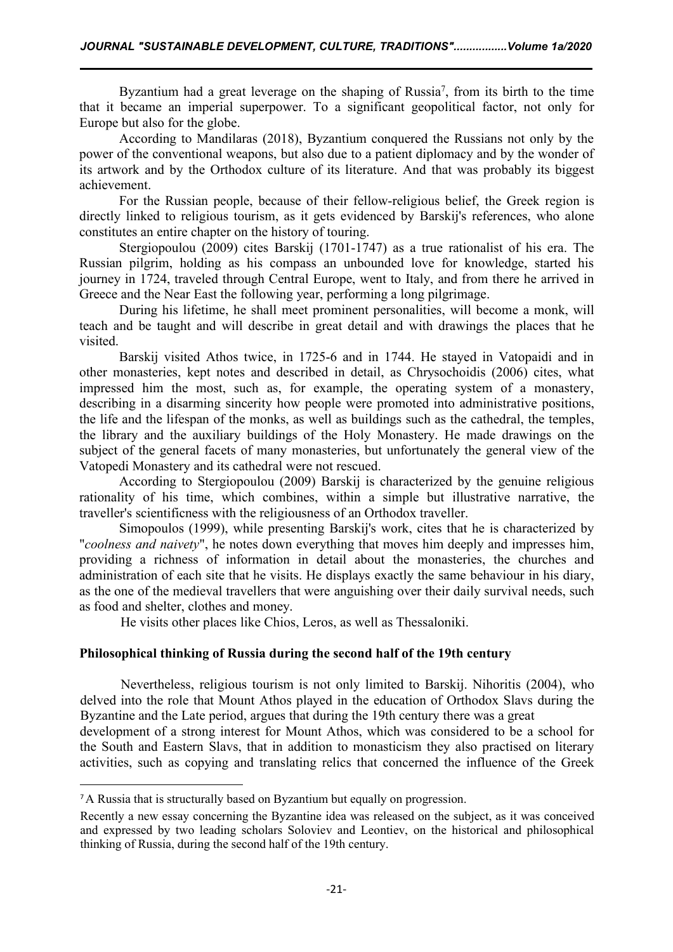Byzantium had a great leverage on the shaping of Russia<sup>[7](#page-6-0)</sup>, from its birth to the time that it became an imperial superpower. To a significant geopolitical factor, not only for Europe but also for the globe.

According to Mandilaras (2018), Byzantium conquered the Russians not only by the power of the conventional weapons, but also due to a patient diplomacy and by the wonder of its artwork and by the Orthodox culture of its literature. And that was probably its biggest achievement.

For the Russian people, because of their fellow-religious belief, the Greek region is directly linked to religious tourism, as it gets evidenced by Barskij's references, who alone constitutes an entire chapter on the history of touring.

Stergiopoulou (2009) cites Barskij (1701-1747) as a true rationalist of his era. The Russian pilgrim, holding as his compass an unbounded love for knowledge, started his journey in 1724, traveled through Central Europe, went to Italy, and from there he arrived in Greece and the Near East the following year, performing a long pilgrimage.

During his lifetime, he shall meet prominent personalities, will become a monk, will teach and be taught and will describe in great detail and with drawings the places that he visited.<br>Barskij visited Athos twice, in 1725-6 and in 1744. He stayed in Vatopaidi and in

other monasteries, kept notes and described in detail, as Chrysochoidis (2006) cites, what impressed him the most, such as, for example, the operating system of a monastery, describing in a disarming sincerity how people were promoted into administrative positions, the life and the lifespan of the monks, as well as buildings such as the cathedral, the temples, the library and the auxiliary buildings of the Holy Monastery. He made drawings on the subject of the general facets of many monasteries, but unfortunately the general view of the Vatopedi Monastery and its cathedral were not rescued.

According to Stergiopoulou (2009) Barskij is characterized by the genuine religious rationality of his time, which combines, within a simple but illustrative narrative, the traveller's scientificness with the religiousness of an Orthodox traveller.

Simopoulos (1999), while presenting Barskij's work, cites that he is characterized by "*coolness and naivety*", he notes down everything that moves him deeply and impresses him, providing a richness of information in detail about the monasteries, the churches and administration of each site that he visits. He displays exactly the same behaviour in his diary, as the one of the medieval travellers that were anguishing over their daily survival needs, such as food and shelter, clothes and money.

He visits other places like Chios, Leros, as well as Thessaloniki.

# **Philosophical thinking of Russia during the second half of the 19th century**

Nevertheless, religious tourism is not only limited to Barskij. Nihoritis (2004), who delved into the role that Mount Athos played in the education of Orthodox Slavs during the Byzantine and the Late period, argues that during the 19th century there was a great development of a strong interest for Mount Athos, which was considered to be a school for the South and Eastern Slavs, that in addition to monasticism they also practised on literary activities, such as copying and translating relics that concerned the influence of the Greek

<span id="page-6-0"></span><sup>7</sup>A Russia that is structurally based on Byzantium but equally on progression.

Recently a new essay concerning the Byzantine idea was released on the subject, as it was conceived and expressed by two leading scholars Soloviev and Leontiev, on the historical and philosophical thinking of Russia, during the second half of the 19th century.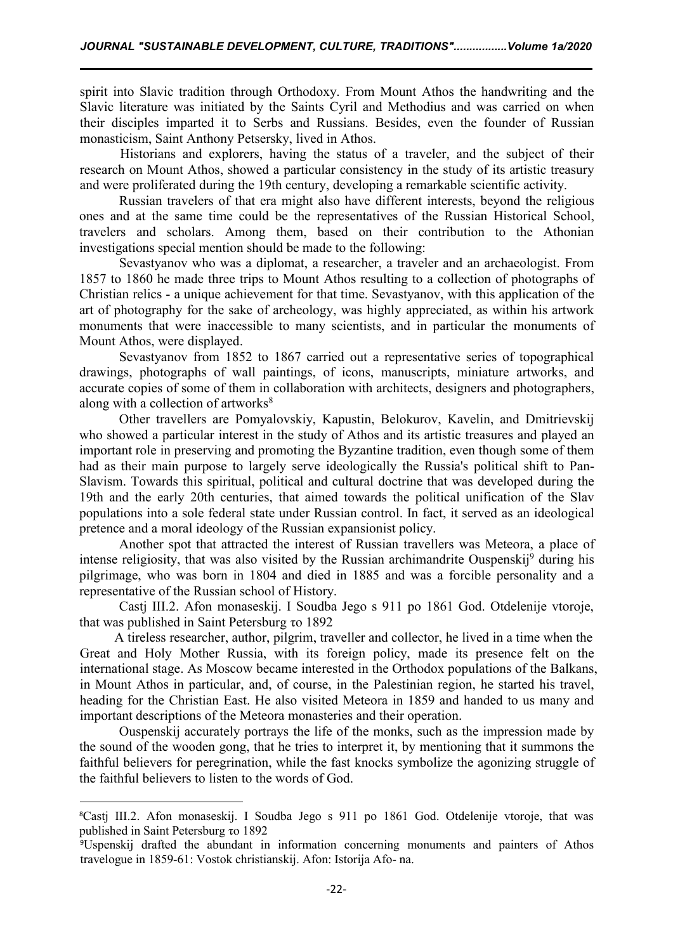spirit into Slavic tradition through Orthodoxy. From Mount Athos the handwriting and the Slavic literature was initiated by the Saints Cyril and Methodius and was carried on when their disciples imparted it to Serbs and Russians. Besides, even the founder of Russian monasticism, Saint Anthony Petsersky, lived in Athos.

Historians and explorers, having the status of a traveler, and the subject of their research on Mount Athos, showed a particular consistency in the study of its artistic treasury and were proliferated during the 19th century, developing a remarkable scientific activity.

Russian travelers of that era might also have different interests, beyond the religious ones and at the same time could be the representatives of the Russian Historical School, travelers and scholars. Among them, based on their contribution to the Athonian investigations special mention should be made to the following:

Sevastyanov who was a diplomat, a researcher, a traveler and an archaeologist. From 1857 to 1860 he made three trips to Mount Athos resulting to a collection of photographs of Christian relics - a unique achievement for that time. Sevastyanov, with this application of the art of photography for the sake of archeology, was highly appreciated, as within his artwork monuments that were inaccessible to many scientists, and in particular the monuments of Mount Athos, were displayed.

Sevastyanov from 1852 to 1867 carried out a representative series of topographical drawings, photographs of wall paintings, of icons, manuscripts, miniature artworks, and accurate copies of some of them in collaboration with architects, designers and photographers, along with a collection of artworks [8](#page-7-0)

Other travellers are Pomyalovskiy, Kapustin, Belokurov, Kavelin, and Dmitrievskij who showed a particular interest in the study of Athos and its artistic treasures and played an important role in preserving and promoting the Byzantine tradition, even though some of them had as their main purpose to largely serve ideologically the Russia's political shift to Pan- Slavism. Towards this spiritual, political and cultural doctrine that was developed during the 19th and the early 20th centuries, that aimed towards the political unification of the Slav populations into a sole federal state under Russian control. In fact, it served as an ideological pretence and a moral ideology of the Russian expansionist policy.

Another spot that attracted the interest of Russian travellers was Meteora, a place of intense religiosity, that was also visited by the Russian archimandrite Ouspenskij<sup>[9](#page-7-1)</sup> during his pilgrimage, who was born in 1804 and died in 1885 and was a forcible personality and a representative of the Russian school of History.

Castj III.2. Afon monaseskij. I Soudba Jego s 911 po 1861 God. Otdelenije vtoroje, that was published in Saint Petersburg το 1892

A tireless researcher, author, pilgrim, traveller and collector, he lived in a time when the Great and Holy Mother Russia, with its foreign policy, made its presence felt on the international stage. As Moscow became interested in the Orthodox populations of the Balkans, in Mount Athos in particular, and, of course, in the Palestinian region, he started his travel, heading for the Christian East. He also visited Meteora in 1859 and handed to us many and important descriptions of the Meteora monasteries and their operation.

Ouspenskij accurately portrays the life of the monks, such as the impression made by the sound of the wooden gong, that he tries to interpret it, by mentioning that it summons the faithful believers for peregrination, while the fast knocks symbolize the agonizing struggle of the faithful believers to listen to the words of God.

<span id="page-7-0"></span><sup>&</sup>lt;sup>8</sup>Casti III.2. Afon monaseskij. I Soudba Jego s 911 po 1861 God. Otdelenije vtoroje, that was published in Saint Petersburg το 1892

<span id="page-7-1"></span><sup>&</sup>lt;sup>9</sup>Uspenskij drafted the abundant in information concerning monuments and painters of Athos travelogue in 1859-61: Vostok christianskij. Afon: Istorija Afo- na.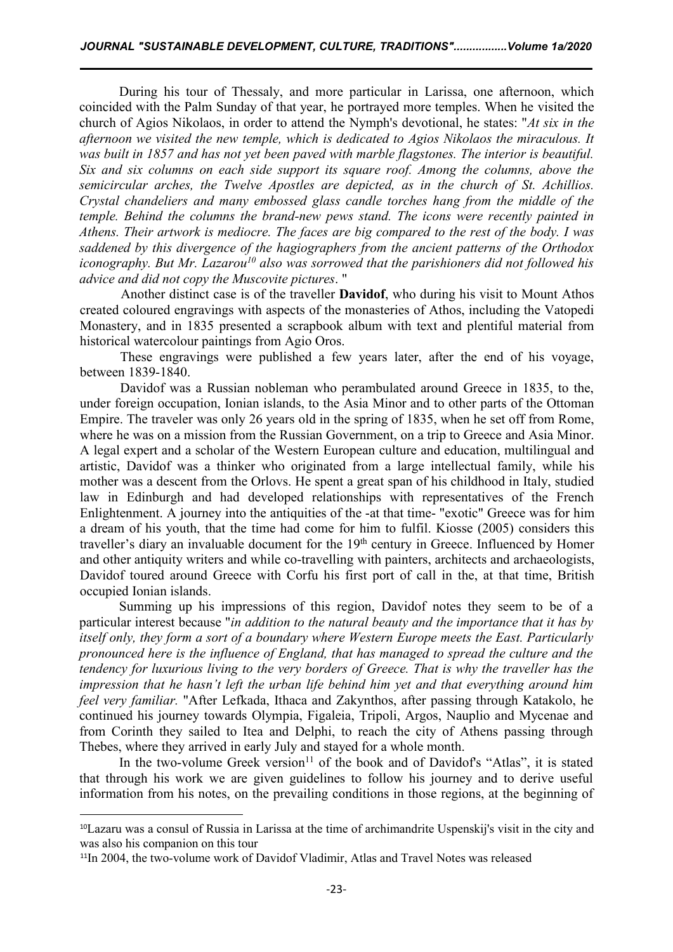During his tour of Thessaly, and more particular in Larissa, one afternoon, which coincided with the Palm Sunday of that year, he portrayed more temples. When he visited the church of Agios Nikolaos, in order to attend the Nymph's devotional, he states: "*At six in the afternoon we visited the new temple, which is dedicated to Agios Nikolaos the miraculous. It was built in 1857 and has not yet been paved with marble flagstones. The interior is beautiful. Six and six columns on each side support its square roof. Among the columns, above the semicircular arches, the Twelve Apostles are depicted, as in the church of St. Achillios. Crystal chandeliers and many embossed glass candle torches hang from the middle of the temple. Behind the columns the brand-new pews stand. The icons were recently painted in Athens. Their artwork ismediocre. The faces are big compared to the rest of the body. I was saddened by this divergence of the hagiographers from the ancient patterns of the Orthodox iconography. But Mr. Lazarou [10](#page-8-0) also was sorrowed that the parishioners did not followed his advice and did not copy the Muscovite pictures*."

Another distinct case is of the traveller **Davidof**, who during his visit to Mount Athos created coloured engravings with aspects of the monasteries of Athos, including the Vatopedi Monastery, and in 1835 presented a scrapbook album with text and plentiful material from historical watercolour paintings from Agio Oros.

These engravings were published a few years later, after the end of his voyage, between 1839-1840.

Davidof was a Russian nobleman who perambulated around Greece in 1835, to the, under foreign occupation, Ionian islands, to the Asia Minor and to other parts of the Ottoman Empire. The traveler was only 26 years old in the spring of 1835, when he set off from Rome, where he was on a mission from the Russian Government, on a trip to Greece and Asia Minor. A legal expert and a scholar of the Western European culture and education, multilingual and artistic, Davidof was a thinker who originated from a large intellectual family, while his mother was a descent from the Orlovs. He spent a great span of his childhood in Italy, studied law in Edinburgh and had developed relationships with representatives of the French Enlightenment. A journey into the antiquities of the -at that time- "exotic" Greece was for him a dream of his youth, that the time had come for him to fulfil. Kiosse (2005) considers this traveller's diary an invaluable document for the 19<sup>th</sup> century in Greece. Influenced by Homer and other antiquity writers and while co-travelling with painters, architects and archaeologists, Davidof toured around Greece with Corfu his first port of call in the, at that time, British occupied Ionian islands.

Summing up his impressions of this region, Davidof notes they seem to be of a particular interest because "*in addition to the natural beauty and the importance that it has by itself only, they form a sort of a boundary where Western Europe meets the East. Particularly pronounced here isthe influence of England, that has managed to spread the culture and the tendency for luxurious living to the very borders of Greece. That is why the traveller has the impression that he hasn't left the urban life behind him yet and that everything around him feel very familiar.* "After Lefkada, Ithaca and Zakynthos, after passing through Katakolo, he continued his journey towards Olympia, Figaleia, Tripoli, Argos, Nauplio and Mycenae and from Corinth they sailed to Itea and Delphi, to reach the city of Athens passing through Thebes, where they arrived in early July and stayed for a whole month.

In the two-volume Greek version<sup>[11](#page-8-1)</sup> of the book and of Davidof's "Atlas", it is stated that through his work we are given guidelines to follow his journey and to derive useful information from his notes, on the prevailing conditions in those regions, at the beginning of

<span id="page-8-0"></span><sup>10</sup>Lazaru was a consul of Russia in Larissa at the time of archimandrite Uspenskij's visit in the city and was also his companion on this tour

<span id="page-8-1"></span><sup>&</sup>lt;sup>11</sup>In 2004, the two-volume work of Davidof Vladimir, Atlas and Travel Notes was released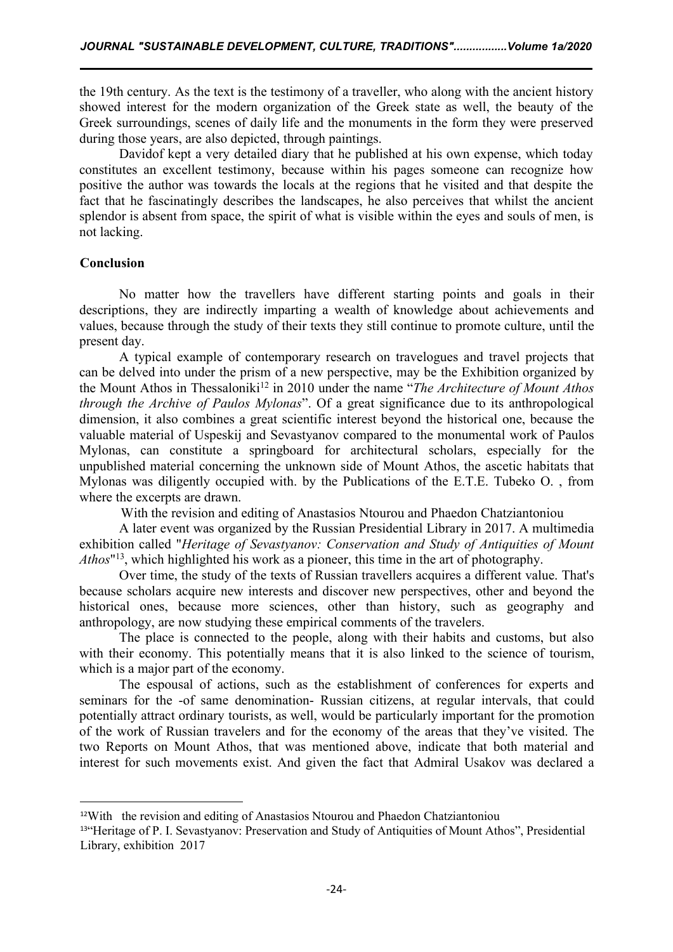the 19th century. As the text is the testimony of a traveller, who along with the ancient history showed interest for the modern organization of the Greek state as well, the beauty of the Greek surroundings, scenes of daily life and the monuments in the form they were preserved during those years, are also depicted, through paintings.

Davidof kept a very detailed diary that he published at his own expense, which today constitutes an excellent testimony, because within his pages someone can recognize how positive the author was towards the locals at the regions that he visited and that despite the fact that he fascinatingly describes the landscapes, he also perceives that whilst the ancient splendor is absent from space, the spirit of what is visible within the eyes and souls of men, is not lacking.

### **Conclusion**

No matter how the travellers have different starting points and goals in their descriptions, they are indirectly imparting a wealth of knowledge about achievements and values, because through the study of their texts they still continue to promote culture, until the present day.

A typical example of contemporary research on travelogues and travel projects that can be delved into under the prism of a new perspective, may be the Exhibition organized by the Mount Athos in Thessaloniki<sup>[12](#page-9-0)</sup> in 2010 under the name "*The Architecture of Mount Athos through the Archive of Paulos Mylonas*". Of a great significance due to its anthropological dimension, it also combines a great scientific interest beyond the historical one, because the valuable material of Uspeskij and Sevastyanov compared to the monumental work of Paulos Mylonas, can constitute a springboard for architectural scholars, especially for the unpublished material concerning the unknown side of Mount Athos, the ascetic habitats that Mylonas was diligently occupied with. by the Publications of the E.T.E. Tubeko O. , from where the excerpts are drawn.

With the revision and editing of Anastasios Ntourou and Phaedon Chatziantoniou

A later event was organized by the Russian Presidential Library in 2017. A multimedia exhibition called "*Heritage of Sevastyanov: Conservation and Study of Antiquities of Mount Athos*" [13](#page-9-1) , which highlighted his work as a pioneer, this time in the art of photography.

Over time, the study of the texts of Russian travellers acquires a different value. That's because scholars acquire new interests and discover new perspectives, other and beyond the historical ones, because more sciences, other than history, such as geography and anthropology, are now studying these empirical comments of the travelers.

The place is connected to the people, along with their habits and customs, but also with their economy. This potentially means that it is also linked to the science of tourism, which is a major part of the economy.

The espousal of actions, such as the establishment of conferences for experts and seminars for the -of same denomination- Russian citizens, at regular intervals, that could potentially attract ordinary tourists, as well, would be particularly important for the promotion of the work of Russian travelers and for the economy of the areas that they've visited. The two Reports on Mount Athos, that was mentioned above, indicate that both material and interest for such movements exist. And given the fact that Admiral Usakov was declared a

<span id="page-9-0"></span><sup>12</sup>With the revision and editing of Anastasios Ntourou and Phaedon Chatziantoniou

<span id="page-9-1"></span><sup>13&</sup>quot;Heritage of P. I. Sevastyanov: Preservation and Study of Antiquities of Mount Athos", Presidential Library, exhibition 2017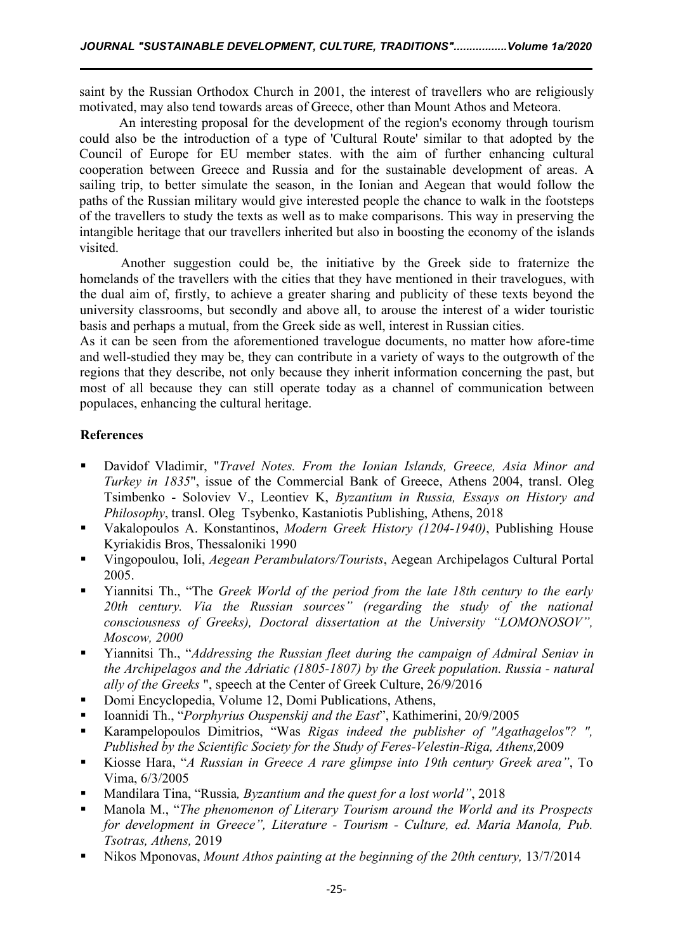saint by the Russian Orthodox Church in 2001, the interest of travellers who are religiously motivated, may also tend towards areas of Greece, other than Mount Athos and Meteora.

An interesting proposal for the development of the region's economy through tourism could also be the introduction of a type of 'Cultural Route' similar to that adopted by the Council of Europe for EU member states. with the aim of further enhancing cultural cooperation between Greece and Russia and for the sustainable development of areas. A sailing trip, to better simulate the season, in the Ionian and Aegean that would follow the paths of the Russian military would give interested people the chance to walk in the footsteps of the travellers to study the texts as well as to make comparisons. This way in preserving the intangible heritage that our travellers inherited but also in boosting the economy of the islands visited.

Another suggestion could be, the initiative by the Greek side to fraternize the homelands of the travellers with the cities that they have mentioned in their travelogues, with the dual aim of, firstly, to achieve a greater sharing and publicity of these texts beyond the university classrooms, but secondly and above all, to arouse the interest of a wider touristic basis and perhaps a mutual, from the Greek side aswell, interest in Russian cities.

As it can be seen from the aforementioned travelogue documents, no matter how afore-time and well-studied they may be, they can contribute in a variety of ways to the outgrowth of the regions that they describe, not only because they inherit information concerning the past, but most of all because they can still operate today as a channel of communication between populaces, enhancing the cultural heritage.

# **References**

- Davidof Vladimir, "*Travel Notes. From the Ionian Islands, Greece, Asia Minor and Turkey in 1835*", issue of the Commercial Bank of Greece, Athens 2004, transl. Oleg Tsimbenko - Soloviev V., Leontiev K, *Byzantium in Russia, Essays on History and Philosophy*, transl. Oleg Tsybenko, Kastaniotis Publishing, Athens, 2018
- Vakalopoulos A. Konstantinos, *Modern Greek History (1204-1940)*, Publishing House Kyriakidis Bros, Thessaloniki 1990
- Vingopoulou, Ioli, *Aegean Perambulators/Tourists*, Aegean Archipelagos Cultural Portal 2005.
- Yiannitsi Th., "The *Greek World of the period from the late 18th century to the early 20th century. Via the Russian sources" (regarding the study of the national consciousness of Greeks), Doctoral dissertation at the University "LOMONOSOV", Moscow, 2000*
- Yiannitsi Th., "*Addressing the Russian fleet during the campaign of Admiral Seniav in the Archipelagos and the Adriatic (1805-1807) by the Greek population. Russia - natural ally of the Greeks* ", speech at the Center of Greek Culture, 26/9/2016
- Domi Encyclopedia, Volume 12, Domi Publications, Athens,
- Ioannidi Th., "*Porphyrius Ouspenskij and the East*", Kathimerini, 20/9/2005
- Karampelopoulos Dimitrios, "Was *Rigas indeed the publisher of "Agathagelos"? ", Published by the Scientific Society for the Study of Feres-Velestin-Riga, Athens,*2009
- Kiosse Hara, "*A Russian in Greece A rare glimpse into 19th century Greek area"*, To Vima, 6/3/2005
- Mandilara Tina, "Russia*, Byzantium and the quest for a lost world"*, 2018
- Manola M., "*The phenomenon of Literary Tourism around the World and its Prospects for development in Greece", Literature - Tourism - Culture, ed. Maria Manola, Pub. Tsotras, Athens,* 2019
- Nikos Mponovas, *Mount Athos painting at the beginning of the 20th century,* 13/7/2014